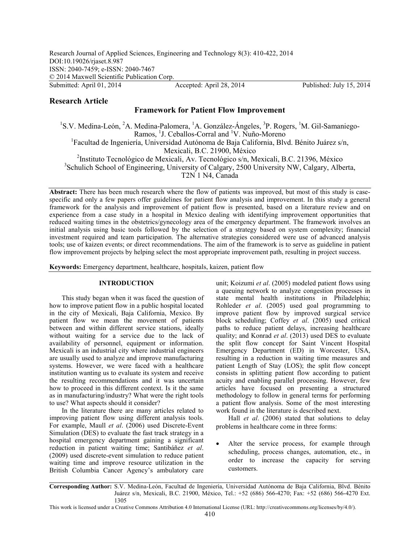# **Research Article**

# **Framework for Patient Flow Improvement**

<sup>1</sup>S.V. Medina-León, <sup>2</sup>A. Medina-Palomera, <sup>1</sup>A. González-Ángeles, <sup>3</sup>P. Rogers, <sup>1</sup>M. Gil-Samaniego-Ramos, <sup>1</sup>J. Ceballos-Corral and <sup>1</sup>V. Nuño-Moreno <sup>1</sup>Facultad de Ingeniería, Universidad Autónoma de Baja California, Blvd. Bénito Juárez s/n, Mexicali, B.C. 21900, México 2 Instituto Tecnológico de Mexicali, Av. Tecnológico s/n, Mexicali, B.C. 21396, México

<sup>3</sup>Schulich School of Engineering, University of Calgary, 2500 University NW, Calgary, Alberta,

T2N 1 N4, Canada

Abstract: There has been much research where the flow of patients was improved, but most of this study is casespecific and only a few papers offer guidelines for patient flow analysis and improvement. In this study a general framework for the analysis and improvement of patient flow is presented, based on a literature review and on experience from a case study in a hospital in Mexico dealing with identifying improvement opportunities that reduced waiting times in the obstetrics/gynecology area of the emergency department. The framework involves an initial analysis using basic tools followed by the selection of a strategy based on system complexity; financial investment required and team participation. The alternative strategies considered were use of advanced analysis tools; use of kaizen events; or direct recommendations. The aim of the framework is to serve as guideline in patient flow improvement projects by helping select the most appropriate improvement path, resulting in project success.

**Keywords:** Emergency department, healthcare, hospitals, kaizen, patient flow

## **INTRODUCTION**

This study began when it was faced the question of how to improve patient flow in a public hospital located in the city of Mexicali, Baja California, Mexico. By patient flow we mean the movement of patients between and within different service stations, ideally without waiting for a service due to the lack of availability of personnel, equipment or information. Mexicali is an industrial city where industrial engineers are usually used to analyze and improve manufacturing systems. However, we were faced with a healthcare institution wanting us to evaluate its system and receive the resulting recommendations and it was uncertain how to proceed in this different context. Is it the same as in manufacturing/industry? What were the right tools to use? What aspects should it consider?

In the literature there are many articles related to improving patient flow using different analysis tools. For example, Maull *et al*. (2006) used Discrete-Event Simulation (DES) to evaluate the fast track strategy in a hospital emergency department gaining a significant reduction in patient waiting time; Santibáñez *et al*. (2009) used discrete-event simulation to reduce patient waiting time and improve resource utilization in the British Columbia Cancer Agency's ambulatory care

unit; Koizumi *et al*. (2005) modeled patient flows using a queuing network to analyze congestion processes in state mental health institutions in Philadelphia; Rohleder *et al*. (2005) used goal programming to improve patient flow by improved surgical service block scheduling; Coffey *et al*. (2005) used critical paths to reduce patient delays, increasing healthcare quality; and Konrad *et al*. (2013) used DES to evaluate the split flow concept for Saint Vincent Hospital Emergency Department (ED) in Worcester, USA, resulting in a reduction in waiting time measures and patient Length of Stay (LOS); the split flow concept consists in splitting patient flow according to patient acuity and enabling parallel processing. However, few articles have focused on presenting a structured methodology to follow in general terms for performing a patient flow analysis. Some of the most interesting work found in the literature is described next.

Hall *et al*. (2006) stated that solutions to delay problems in healthcare come in three forms:

Alter the service process, for example through scheduling, process changes, automation, etc., in order to increase the capacity for serving customers.

This work is licensed under a Creative Commons Attribution 4.0 International License (URL: http://creativecommons.org/licenses/by/4.0/).

**Corresponding Author:** S.V. Medina-León, Facultad de Ingeniería, Universidad Autónoma de Baja California, Blvd. Bénito Juárez s/n, Mexicali, B.C. 21900, México, Tel.: +52 (686) 566-4270; Fax: +52 (686) 566-4270 Ext. 1305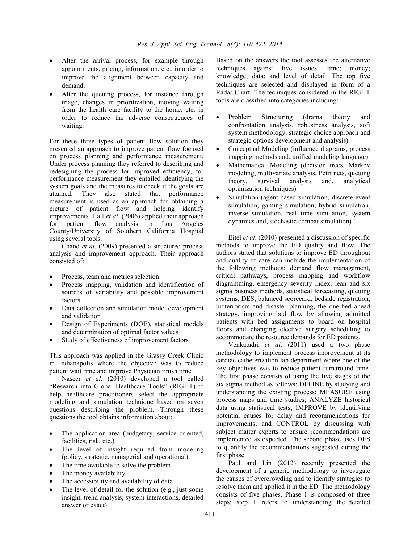- Alter the arrival process, for example through appointments, pricing, information, etc., in order to improve the alignment between capacity and demand.
- Alter the queuing process, for instance through triage, changes in prioritization, moving waiting from the health care facility to the home, etc. in order to reduce the adverse consequences of waiting.

For these three types of patient flow solution they presented an approach to improve patient flow focused on process planning and performance measurement. Under process planning they referred to describing and redesigning the process for improved efficiency, for performance measurement they entailed identifying the system goals and the measures to check if the goals are attained. They also stated that performance measurement is used as an approach for obtaining a picture of patient flow and helping identify improvements. Hall *et al*. (2006) applied their approach for patient flow analysis in Los Angeles County/University of Southern California Hospital using several tools.

Chand *et al*. (2009) presented a structured process analysis and improvement approach. Their approach consisted of:

- Process, team and metrics selection
- Process mapping, validation and identification of sources of variability and possible improvement factors
- Data collection and simulation model development and validation
- Design of Experiments (DOE), statistical models and determination of optimal factor values
- Study of effectiveness of improvement factors

This approach was applied in the Grassy Creek Clinic in Indianapolis where the objective was to reduce patient wait time and improve Physician finish time.

Naseer *et al*. (2010) developed a tool called "Research into Global Healthcare Tools" (RIGHT) to help healthcare practitioners select the appropriate modeling and simulation technique based on seven questions describing the problem. Through these questions the tool obtains information about:

- The application area (budgetary, service oriented, facilities, risk, etc.)
- The level of insight required from modeling (policy, strategic, managerial and operational)
- The time available to solve the problem
- The money availability
- The accessibility and availability of data
- The level of detail for the solution (e.g., just some insight, trend analysis, system interactions, detailed answer or exact)

Based on the answers the tool assesses the alternative techniques against five issues: time; money; knowledge; data; and level of detail. The top five techniques are selected and displayed in form of a Radar Chart. The techniques considered in the RIGHT tools are classified into categories including:

- Problem Structuring (drama theory and confrontation analysis, robustness analysis, soft system methodology, strategic choice approach and strategic options development and analysis)
- Conceptual Modeling (influence diagrams, process mapping methods and, unified modeling language)
- Mathematical Modeling (decision trees, Markov modeling, multivariate analysis, Petri nets, queuing theory, survival analysis and, analytical optimization techniques)
- Simulation (agent-based simulation, discrete-event simulation, gaming simulation, hybrid simulation, inverse simulation, real time simulation, system dynamics and, stochastic combat simulation)

Eitel *et al*. (2010) presented a discussion of specific methods to improve the ED quality and flow. The authors stated that solutions to improve ED throughput and quality of care can include the implementation of the following methods: demand flow management, critical pathways, process mapping and workflow diagramming, emergency severity index, lean and six sigma business methods, statistical forecasting, queuing systems, DES, balanced scorecard, bedside registration, bioterrorism and disaster planning, the one-bed ahead strategy, improving bed flow by allowing admitted patients with bed assignments to board on hospital floors and changing elective surgery scheduling to accommodate the resource demands for ED patients.

Venkatadri *et al*. (2011) used a two phase methodology to implement process improvement at its cardiac catheterization lab department where one of the key objectives was to reduce patient turnaround time. The first phase consists of using the five stages of the six sigma method as follows: DEFINE by studying and understanding the existing process; MEASURE using process maps and time studies; ANALYZE historical data using statistical tests; IMPROVE by identifying potential causes for delay and recommendations for improvements; and CONTROL by discussing with subject matter experts to ensure recommendations are implemented as expected. The second phase uses DES to quantify the recommendations suggested during the first phase.

Paul and Lin (2012) recently presented the development of a generic methodology to investigate the causes of overcrowding and to identify strategies to resolve them and applied it in the ED. The methodology consists of five phases. Phase 1 is composed of three steps: step 1 refers to understanding the detailed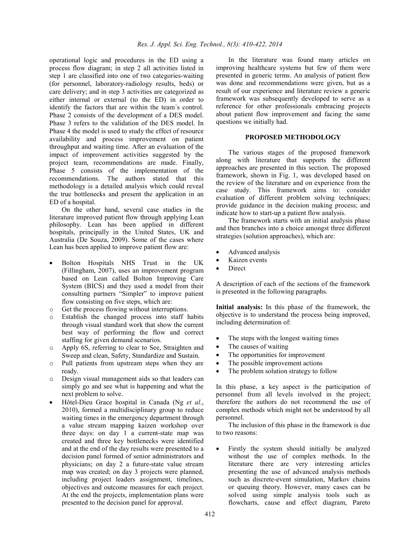operational logic and procedures in the ED using a process flow diagram; in step 2 all activities listed in step 1 are classified into one of two categories-waiting (for personnel, laboratory-radiology results, beds) or care delivery; and in step 3 activities are categorized as either internal or external (to the ED) in order to identify the factors that are within the team´s control. Phase 2 consists of the development of a DES model. Phase 3 refers to the validation of the DES model. In Phase 4 the model is used to study the effect of resource availability and process improvement on patient throughput and waiting time. After an evaluation of the impact of improvement activities suggested by the project team, recommendations are made. Finally, Phase 5 consists of the implementation of the recommendations. The authors stated that this methodology is a detailed analysis which could reveal the true bottlenecks and present the application in an ED of a hospital.

On the other hand, several case studies in the literature improved patient flow through applying Lean philosophy. Lean has been applied in different hospitals, principally in the United States, UK and Australia (De Souza, 2009). Some of the cases where Lean has been applied to improve patient flow are:

- Bolton Hospitals NHS Trust in the UK (Fillingham, 2007), uses an improvement program based on Lean called Bolton Improving Care System (BICS) and they used a model from their consulting partners "Simpler" to improve patient flow consisting on five steps, which are:
- o Get the process flowing without interruptions.
- o Establish the changed process into staff habits through visual standard work that show the current best way of performing the flow and correct staffing for given demand scenarios.
- o Apply 6S, referring to clear to See, Straighten and Sweep and clean, Safety, Standardize and Sustain.
- o Pull patients from upstream steps when they are ready.
- o Design visual management aids so that leaders can simply go and see what is happening and what the next problem to solve.
- Hôtel-Dieu Grace hospital in Canada (Ng *et al*., 2010), formed a multidisciplinary group to reduce waiting times in the emergency department through a value stream mapping kaizen workshop over three days: on day 1 a current-state map was created and three key bottlenecks were identified and at the end of the day results were presented to a decision panel formed of senior administrators and physicians; on day 2 a future-state value stream map was created; on day 3 projects were planned, including project leaders assignment, timelines, objectives and outcome measures for each project. At the end the projects, implementation plans were presented to the decision panel for approval.

In the literature was found many articles on improving healthcare systems but few of them were presented in generic terms. An analysis of patient flow was done and recommendations were given, but as a result of our experience and literature review a generic framework was subsequently developed to serve as a reference for other professionals embracing projects about patient flow improvement and facing the same questions we initially had.

#### **PROPOSED METHODOLOGY**

The various stages of the proposed framework along with literature that supports the different approaches are presented in this section. The proposed framework, shown in Fig. 1, was developed based on the review of the literature and on experience from the case study. This framework aims to: consider evaluation of different problem solving techniques; provide guidance in the decision making process; and indicate how to start-up a patient flow analysis.

The framework starts with an initial analysis phase and then branches into a choice amongst three different strategies (solution approaches), which are:

- Advanced analysis
- Kaizen events
- Direct

A description of each of the sections of the framework is presented in the following paragraphs.

**Initial analysis:** In this phase of the framework, the objective is to understand the process being improved, including determination of:

- The steps with the longest waiting times
- The causes of waiting
- The opportunities for improvement
- The possible improvement actions
- The problem solution strategy to follow

In this phase, a key aspect is the participation of personnel from all levels involved in the project; therefore the authors do not recommend the use of complex methods which might not be understood by all personnel.

The inclusion of this phase in the framework is due to two reasons:

Firstly the system should initially be analyzed without the use of complex methods. In the literature there are very interesting articles presenting the use of advanced analysis methods such as discrete-event simulation, Markov chains or queuing theory. However, many cases can be solved using simple analysis tools such as flowcharts, cause and effect diagram, Pareto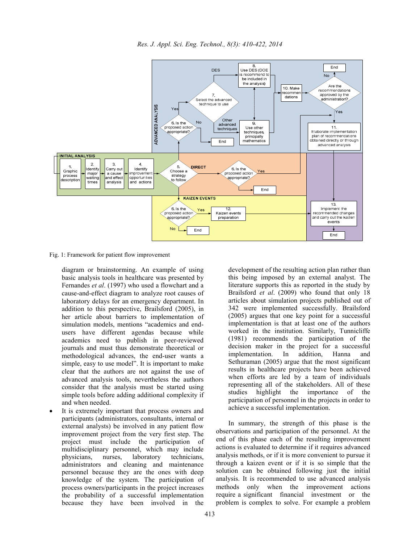



Fig. 1: Framework for patient flow improvement

diagram or brainstorming. An example of using basic analysis tools in healthcare was presented by Fernandes *et al*. (1997) who used a flowchart and a cause-and-effect diagram to analyze root causes of laboratory delays for an emergency department. In addition to this perspective, Brailsford (2005), in her article about barriers to implementation of simulation models, mentions "academics and endusers have different agendas because while academics need to publish in peer-reviewed journals and must thus demonstrate theoretical or methodological advances, the end-user wants a simple, easy to use model". It is important to make clear that the authors are not against the use of advanced analysis tools, nevertheless the authors consider that the analysis must be started using simple tools before adding additional complexity if and when needed.

It is extremely important that process owners and participants (administrators, consultants, internal or external analysts) be involved in any patient flow improvement project from the very first step. The project must include the participation of multidisciplinary personnel, which may include physicians, nurses, laboratory technicians, administrators and cleaning and maintenance personnel because they are the ones with deep knowledge of the system. The participation of process owners/participants in the project increases the probability of a successful implementation because they have been involved in the

development of the resulting action plan rather than this being imposed by an external analyst. The literature supports this as reported in the study by Brailsford *et al*. (2009) who found that only 18 articles about simulation projects published out of 342 were implemented successfully. Brailsford (2005) argues that one key point for a successful implementation is that at least one of the authors worked in the institution. Similarly, Tunnicliffe (1981) recommends the participation of the decision maker in the project for a successful implementation. In addition, Hanna and Sethuraman (2005) argue that the most significant results in healthcare projects have been achieved when efforts are led by a team of individuals representing all of the stakeholders. All of these studies highlight the importance of the participation of personnel in the projects in order to achieve a successful implementation.

In summary, the strength of this phase is the observations and participation of the personnel. At the end of this phase each of the resulting improvement actions is evaluated to determine if it requires advanced analysis methods, or if it is more convenient to pursue it through a kaizen event or if it is so simple that the solution can be obtained following just the initial analysis. It is recommended to use advanced analysis methods only when the improvement actions require a significant financial investment or the problem is complex to solve. For example a problem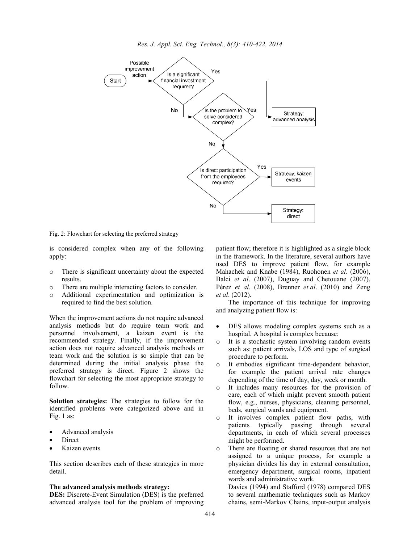

Fig. 2: Flowchart for selecting the preferred strategy

is considered complex when any of the following apply:

- o There is significant uncertainty about the expected results.
- There are multiple interacting factors to consider.
- o Additional experimentation and optimization is required to find the best solution.

When the improvement actions do not require advanced analysis methods but do require team work and personnel involvement, a kaizen event is the recommended strategy. Finally, if the improvement action does not require advanced analysis methods or team work and the solution is so simple that can be determined during the initial analysis phase the preferred strategy is direct. Figure 2 shows the flowchart for selecting the most appropriate strategy to follow.

**Solution strategies:** The strategies to follow for the identified problems were categorized above and in Fig. 1 as:

- Advanced analysis
- **Direct**
- Kaizen events

This section describes each of these strategies in more detail.

#### **The advanced analysis methods strategy:**

**DES:** Discrete-Event Simulation (DES) is the preferred advanced analysis tool for the problem of improving patient flow; therefore it is highlighted as a single block in the framework. In the literature, several authors have used DES to improve patient flow, for example Mahachek and Knabe (1984), Ruohonen *et al*. (2006), Balci *et al*. (2007), Duguay and Chetouane (2007), Pérez *et al*. (2008), Brenner *et al*. (2010) and Zeng *et al*. (2012).

The importance of this technique for improving and analyzing patient flow is:

- DES allows modeling complex systems such as a hospital. A hospital is complex because:
- It is a stochastic system involving random events such as: patient arrivals, LOS and type of surgical procedure to perform.
- o It embodies significant time-dependent behavior, for example the patient arrival rate changes depending of the time of day, day, week or month.
- o It includes many resources for the provision of care, each of which might prevent smooth patient flow, e.g., nurses, physicians, cleaning personnel, beds, surgical wards and equipment.
- o It involves complex patient flow paths, with patients typically passing through several departments, in each of which several processes might be performed.
- o There are floating or shared resources that are not assigned to a unique process, for example a physician divides his day in external consultation, emergency department, surgical rooms, inpatient wards and administrative work.

Davies (1994) and Stafford (1978) compared DES to several mathematic techniques such as Markov chains, semi-Markov Chains, input-output analysis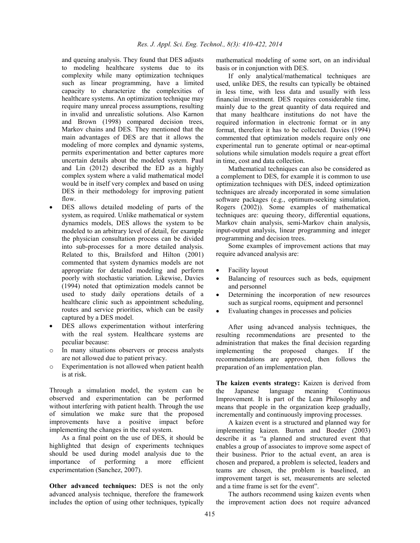and queuing analysis. They found that DES adjusts to modeling healthcare systems due to its complexity while many optimization techniques such as linear programming, have a limited capacity to characterize the complexities of healthcare systems. An optimization technique may require many unreal process assumptions, resulting in invalid and unrealistic solutions. Also Karnon and Brown (1998) compared decision trees, Markov chains and DES. They mentioned that the main advantages of DES are that it allows the modeling of more complex and dynamic systems, permits experimentation and better captures more uncertain details about the modeled system. Paul and Lin (2012) described the ED as a highly complex system where a valid mathematical model would be in itself very complex and based on using DES in their methodology for improving patient flow.

- DES allows detailed modeling of parts of the system, as required. Unlike mathematical or system dynamics models, DES allows the system to be modeled to an arbitrary level of detail, for example the physician consultation process can be divided into sub-processes for a more detailed analysis. Related to this, Brailsford and Hilton (2001) commented that system dynamics models are not appropriate for detailed modeling and perform poorly with stochastic variation. Likewise, Davies (1994) noted that optimization models cannot be used to study daily operations details of a healthcare clinic such as appointment scheduling, routes and service priorities, which can be easily captured by a DES model.
- DES allows experimentation without interfering with the real system. Healthcare systems are peculiar because:
- In many situations observers or process analysts are not allowed due to patient privacy.
- o Experimentation is not allowed when patient health is at risk.

Through a simulation model, the system can be observed and experimentation can be performed without interfering with patient health. Through the use of simulation we make sure that the proposed improvements have a positive impact before implementing the changes in the real system.

As a final point on the use of DES, it should be highlighted that design of experiments techniques should be used during model analysis due to the importance of performing a more efficient experimentation (Sanchez, 2007).

**Other advanced techniques:** DES is not the only advanced analysis technique, therefore the framework includes the option of using other techniques, typically

mathematical modeling of some sort, on an individual basis or in conjunction with DES.

If only analytical/mathematical techniques are used, unlike DES, the results can typically be obtained in less time, with less data and usually with less financial investment. DES requires considerable time, mainly due to the great quantity of data required and that many healthcare institutions do not have the required information in electronic format or in any format, therefore it has to be collected. Davies (1994) commented that optimization models require only one experimental run to generate optimal or near-optimal solutions while simulation models require a great effort in time, cost and data collection.

Mathematical techniques can also be considered as a complement to DES, for example it is common to use optimization techniques with DES, indeed optimization techniques are already incorporated in some simulation software packages (e.g., optimum-seeking simulation, Rogers (2002)). Some examples of mathematical techniques are: queuing theory, differential equations, Markov chain analysis, semi-Markov chain analysis, input-output analysis, linear programming and integer programming and decision trees.

Some examples of improvement actions that may require advanced analysis are:

- Facility layout
- Balancing of resources such as beds, equipment and personnel
- Determining the incorporation of new resources such as surgical rooms, equipment and personnel
- Evaluating changes in processes and policies

After using advanced analysis techniques, the resulting recommendations are presented to the administration that makes the final decision regarding implementing the proposed changes. If the recommendations are approved, then follows the preparation of an implementation plan.

**The kaizen events strategy:** Kaizen is derived from the Japanese language meaning Continuous Improvement. It is part of the Lean Philosophy and means that people in the organization keep gradually, incrementally and continuously improving processes.

A kaizen event is a structured and planned way for implementing kaizen. Burton and Boeder (2003) describe it as "a planned and structured event that enables a group of associates to improve some aspect of their business. Prior to the actual event, an area is chosen and prepared, a problem is selected, leaders and teams are chosen, the problem is baselined, an improvement target is set, measurements are selected and a time frame is set for the event".

The authors recommend using kaizen events when the improvement action does not require advanced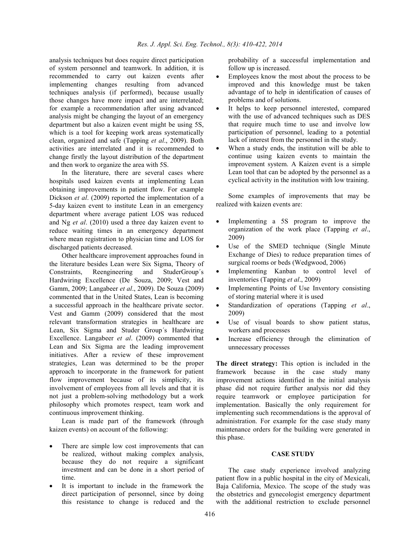analysis techniques but does require direct participation of system personnel and teamwork. In addition, it is recommended to carry out kaizen events after implementing changes resulting from advanced techniques analysis (if performed), because usually those changes have more impact and are interrelated; for example a recommendation after using advanced analysis might be changing the layout of an emergency department but also a kaizen event might be using 5S, which is a tool for keeping work areas systematically clean, organized and safe (Tapping *et al*., 2009). Both activities are interrelated and it is recommended to change firstly the layout distribution of the department and then work to organize the area with 5S.

In the literature, there are several cases where hospitals used kaizen events at implementing Lean obtaining improvements in patient flow. For example Dickson *et al*. (2009) reported the implementation of a 5-day kaizen event to institute Lean in an emergency department where average patient LOS was reduced and Ng *et al*. (2010) used a three day kaizen event to reduce waiting times in an emergency department where mean registration to physician time and LOS for discharged patients decreased.

Other healthcare improvement approaches found in the literature besides Lean were Six Sigma, Theory of Constraints, Reengineering and StuderGroup´s Hardwiring Excellence (De Souza, 2009; Vest and Gamm, 2009; Langabeer *et al*., 2009). De Souza (2009) commented that in the United States, Lean is becoming a successful approach in the healthcare private sector. Vest and Gamm (2009) considered that the most relevant transformation strategies in healthcare are Lean, Six Sigma and Studer Group´s Hardwiring Excellence. Langabeer *et al*. (2009) commented that Lean and Six Sigma are the leading improvement initiatives. After a review of these improvement strategies, Lean was determined to be the proper approach to incorporate in the framework for patient flow improvement because of its simplicity, its involvement of employees from all levels and that it is not just a problem-solving methodology but a work philosophy which promotes respect, team work and continuous improvement thinking.

Lean is made part of the framework (through kaizen events) on account of the following:

- There are simple low cost improvements that can be realized, without making complex analysis, because they do not require a significant investment and can be done in a short period of time.
- It is important to include in the framework the direct participation of personnel, since by doing this resistance to change is reduced and the

probability of a successful implementation and follow up is increased.

- Employees know the most about the process to be improved and this knowledge must be taken advantage of to help in identification of causes of problems and of solutions.
- It helps to keep personnel interested, compared with the use of advanced techniques such as DES that require much time to use and involve low participation of personnel, leading to a potential lack of interest from the personnel in the study.
- When a study ends, the institution will be able to continue using kaizen events to maintain the improvement system. A Kaizen event is a simple Lean tool that can be adopted by the personnel as a cyclical activity in the institution with low training.

Some examples of improvements that may be realized with kaizen events are:

- Implementing a 5S program to improve the organization of the work place (Tapping *et al*., 2009)
- Use of the SMED technique (Single Minute) Exchange of Dies) to reduce preparation times of surgical rooms or beds (Wedgwood, 2006)
- Implementing Kanban to control level of inventories (Tapping *et al*., 2009)
- Implementing Points of Use Inventory consisting of storing material where it is used
- Standardization of operations (Tapping *et al*., 2009)
- Use of visual boards to show patient status, workers and processes
- Increase efficiency through the elimination of unnecessary processes

**The direct strategy:** This option is included in the framework because in the case study many improvement actions identified in the initial analysis phase did not require further analysis nor did they require teamwork or employee participation for implementation. Basically the only requirement for implementing such recommendations is the approval of administration. For example for the case study many maintenance orders for the building were generated in this phase.

#### **CASE STUDY**

The case study experience involved analyzing patient flow in a public hospital in the city of Mexicali, Baja California, Mexico. The scope of the study was the obstetrics and gynecologist emergency department with the additional restriction to exclude personnel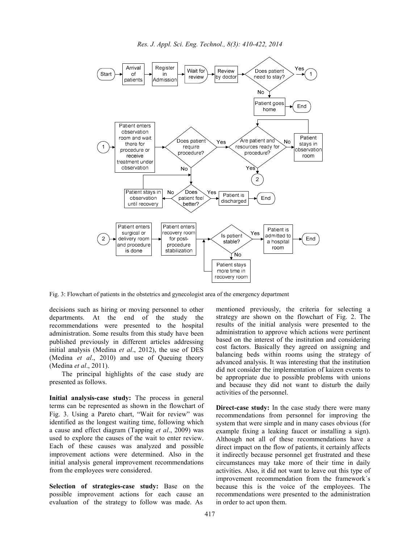

Fig. 3: Flowchart of patients in the obstetrics and gynecologist area of the emergency department

decisions such as hiring or moving personnel to other departments. At the end of the study the recommendations were presented to the hospital administration. Some results from this study have been published previously in different articles addressing initial analysis (Medina *et al*., 2012), the use of DES (Medina *et al*., 2010) and use of Queuing theory (Medina *et al*., 2011).

The principal highlights of the case study are presented as follows.

**Initial analysis-case study:** The process in general terms can be represented as shown in the flowchart of Fig. 3. Using a Pareto chart, "Wait for review" was identified as the longest waiting time, following which a cause and effect diagram (Tapping *et al*., 2009) was used to explore the causes of the wait to enter review. Each of these causes was analyzed and possible improvement actions were determined. Also in the initial analysis general improvement recommendations from the employees were considered.

**Selection of strategies-case study:** Base on the possible improvement actions for each cause an evaluation of the strategy to follow was made. As

mentioned previously, the criteria for selecting a strategy are shown on the flowchart of Fig. 2. The results of the initial analysis were presented to the administration to approve which actions were pertinent based on the interest of the institution and considering cost factors. Basically they agreed on assigning and balancing beds within rooms using the strategy of advanced analysis. It was interesting that the institution did not consider the implementation of kaizen events to be appropriate due to possible problems with unions and because they did not want to disturb the daily activities of the personnel.

**Direct-case study:** In the case study there were many recommendations from personnel for improving the system that were simple and in many cases obvious (for example fixing a leaking faucet or installing a sign). Although not all of these recommendations have a direct impact on the flow of patients, it certainly affects it indirectly because personnel get frustrated and these circumstances may take more of their time in daily activities. Also, it did not want to leave out this type of improvement recommendation from the framework´s because this is the voice of the employees. The recommendations were presented to the administration in order to act upon them.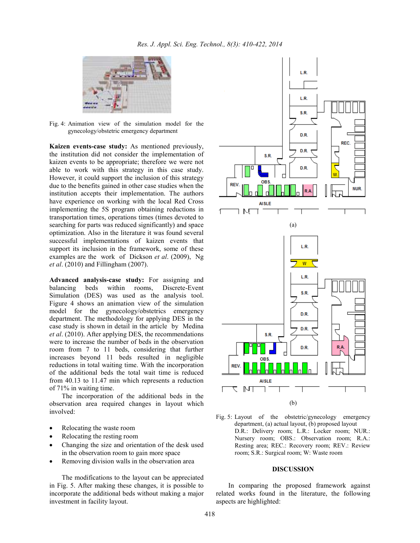

Fig. 4: Animation view of the simulation model for the gynecology/obstetric emergency department

**Kaizen events-case study:** As mentioned previously, the institution did not consider the implementation of kaizen events to be appropriate; therefore we were not able to work with this strategy in this case study. However, it could support the inclusion of this strategy due to the benefits gained in other case studies when the institution accepts their implementation. The authors have experience on working with the local Red Cross implementing the 5S program obtaining reductions in transportation times, operations times (times devoted to searching for parts was reduced significantly) and space optimization. Also in the literature it was found several successful implementations of kaizen events that support its inclusion in the framework, some of these examples are the work of Dickson *et al*. (2009), Ng *et al*. (2010) and Fillingham (2007).

**Advanced analysis-case study:** For assigning and balancing beds within rooms, Discrete-Event Simulation (DES) was used as the analysis tool. Figure 4 shows an animation view of the simulation model for the gynecology/obstetrics emergency department. The methodology for applying DES in the case study is shown in detail in the article by Medina *et al*. (2010). After applying DES, the recommendations were to increase the number of beds in the observation room from 7 to 11 beds, considering that further increases beyond 11 beds resulted in negligible reductions in total waiting time. With the incorporation of the additional beds the total wait time is reduced from 40.13 to 11.47 min which represents a reduction of 71% in waiting time.

The incorporation of the additional beds in the observation area required changes in layout which involved:

- Relocating the waste room
- Relocating the resting room
- Changing the size and orientation of the desk used in the observation room to gain more space
- Removing division walls in the observation area

The modifications to the layout can be appreciated in Fig. 5. After making these changes, it is possible to incorporate the additional beds without making a major investment in facility layout.



Fig. 5: Layout of the obstetric/gynecology emergency department, (a) actual layout, (b) proposed layout D.R.: Delivery room; L.R.: Locker room; NUR.: Nursery room; OBS.: Observation room; R.A.: Resting area; REC.: Recovery room; REV.: Review room; S.R.: Surgical room; W: Waste room

#### **DISCUSSION**

In comparing the proposed framework against related works found in the literature, the following aspects are highlighted: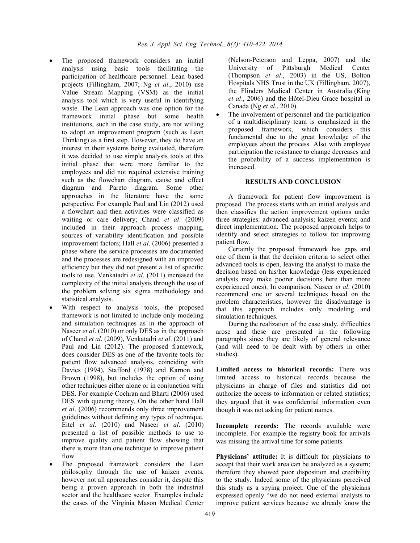- The proposed framework considers an initial analysis using basic tools facilitating the participation of healthcare personnel. Lean based projects (Fillingham, 2007; Ng *et al*., 2010) use Value Stream Mapping (VSM) as the initial analysis tool which is very useful in identifying waste. The Lean approach was one option for the framework initial phase but some health institutions, such in the case study, are not willing to adopt an improvement program (such as Lean Thinking) as a first step. However, they do have an interest in their systems being evaluated, therefore it was decided to use simple analysis tools at this initial phase that were more familiar to the employees and did not required extensive training such as the flowchart diagram, cause and effect diagram and Pareto diagram. Some other approaches in the literature have the same perspective. For example Paul and Lin (2012) used a flowchart and then activities were classified as waiting or care delivery; Chand *et al*. (2009) included in their approach process mapping, sources of variability identification and possible improvement factors; Hall *et al*. (2006) presented a phase where the service processes are documented and the processes are redesigned with an improved efficiency but they did not present a list of specific tools to use. Venkatadri *et al*. (2011) increased the complexity of the initial analysis through the use of the problem solving six sigma methodology and statistical analysis.
- With respect to analysis tools, the proposed framework is not limited to include only modeling and simulation techniques as in the approach of Naseer *et al*. (2010) or only DES as in the approach of Chand *et al*. (2009), Venkatadri *et al*. (2011) and Paul and Lin (2012). The proposed framework, does consider DES as one of the favorite tools for patient flow advanced analysis, coinciding with Davies (1994), Stafford (1978) and Karnon and Brown (1998), but includes the option of using other techniques either alone or in conjunction with DES. For example Cochran and Bharti (2006) used DES with queuing theory. On the other hand Hall *et al*. (2006) recommends only three improvement guidelines without defining any types of technique. Eitel *et al*. (2010) and Naseer *et al*. (2010) presented a list of possible methods to use to improve quality and patient flow showing that there is more than one technique to improve patient flow.
- The proposed framework considers the Lean philosophy through the use of kaizen events, however not all approaches consider it, despite this being a proven approach in both the industrial sector and the healthcare sector. Examples include the cases of the Virginia Mason Medical Center

(Nelson-Peterson and Leppa, 2007) and the University of Pittsburgh Medical Center (Thompson *et al*., 2003) in the US, Bolton Hospitals NHS Trust in the UK (Fillingham, 2007), the Flinders Medical Center in Australia (King *et al*., 2006) and the Hôtel-Dieu Grace hospital in Canada (Ng *et al*., 2010).

The involvement of personnel and the participation of a multidisciplinary team is emphasized in the proposed framework, which considers this fundamental due to the great knowledge of the employees about the process. Also with employee participation the resistance to change decreases and the probability of a success implementation is increased.

### **RESULTS AND CONCLUSION**

A framework for patient flow improvement is proposed. The process starts with an initial analysis and then classifies the action improvement options under three strategies: advanced analysis; kaizen events; and direct implementation. The proposed approach helps to identify and select strategies to follow for improving patient flow.

Certainly the proposed framework has gaps and one of them is that the decision criteria to select other advanced tools is open, leaving the analyst to make the decision based on his/her knowledge (less experienced analysts may make poorer decisions here than more experienced ones). In comparison, Naseer *et al*. (2010) recommend one or several techniques based on the problem characteristics, however the disadvantage is that this approach includes only modeling and simulation techniques.

During the realization of the case study, difficulties arose and these are presented in the following paragraphs since they are likely of general relevance (and will need to be dealt with by others in other studies).

Limited access to historical records: There was limited access to historical records because the physicians in charge of files and statistics did not authorize the access to information or related statistics; they argued that it was confidential information even though it was not asking for patient names.

**Incomplete records:** The records available were incomplete. For example the registry book for arrivals was missing the arrival time for some patients.

**Physicians' attitude:** It is difficult for physicians to accept that their work area can be analyzed as a system; therefore they showed poor disposition and credibility to the study. Indeed some of the physicians perceived this study as a spying project. One of the physicians expressed openly "we do not need external analysts to improve patient services because we already know the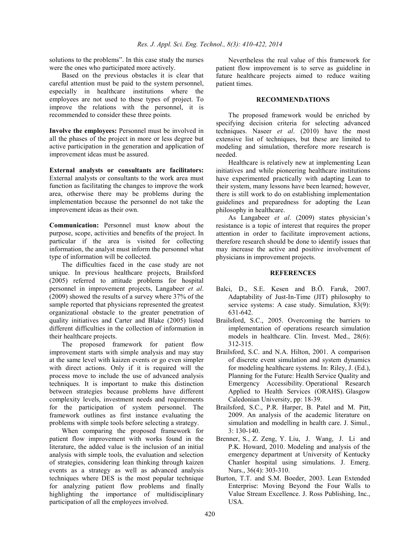solutions to the problems". In this case study the nurses were the ones who participated more actively.

Based on the previous obstacles it is clear that careful attention must be paid to the system personnel, especially in healthcare institutions where the employees are not used to these types of project. To improve the relations with the personnel, it is recommended to consider these three points.

**Involve the employees:** Personnel must be involved in all the phases of the project in more or less degree but active participation in the generation and application of improvement ideas must be assured.

**External analysts or consultants are facilitators:** External analysts or consultants to the work area must function as facilitating the changes to improve the work area, otherwise there may be problems during the implementation because the personnel do not take the improvement ideas as their own.

**Communication:** Personnel must know about the purpose, scope, activities and benefits of the project. In particular if the area is visited for collecting information, the analyst must inform the personnel what type of information will be collected.

The difficulties faced in the case study are not unique. In previous healthcare projects, Brailsford (2005) referred to attitude problems for hospital personnel in improvement projects, Langabeer *et al*. (2009) showed the results of a survey where 37% of the sample reported that physicians represented the greatest organizational obstacle to the greater penetration of quality initiatives and Carter and Blake (2005) listed different difficulties in the collection of information in their healthcare projects.

The proposed framework for patient flow improvement starts with simple analysis and may stay at the same level with kaizen events or go even simpler with direct actions. Only if it is required will the process move to include the use of advanced analysis techniques. It is important to make this distinction between strategies because problems have different complexity levels, investment needs and requirements for the participation of system personnel. The framework outlines as first instance evaluating the problems with simple tools before selecting a strategy.

When comparing the proposed framework for patient flow improvement with works found in the literature, the added value is the inclusion of an initial analysis with simple tools, the evaluation and selection of strategies, considering lean thinking through kaizen events as a strategy as well as advanced analysis techniques where DES is the most popular technique for analyzing patient flow problems and finally highlighting the importance of multidisciplinary participation of all the employees involved.

Nevertheless the real value of this framework for patient flow improvement is to serve as guideline in future healthcare projects aimed to reduce waiting patient times.

#### **RECOMMENDATIONS**

The proposed framework would be enriched by specifying decision criteria for selecting advanced techniques. Naseer *et al*. (2010) have the most extensive list of techniques, but these are limited to modeling and simulation, therefore more research is needed.

Healthcare is relatively new at implementing Lean initiatives and while pioneering healthcare institutions have experimented practically with adapting Lean to their system, many lessons have been learned; however, there is still work to do on establishing implementation guidelines and preparedness for adopting the Lean philosophy in healthcare.

As Langabeer *et al*. (2009) states physician's resistance is a topic of interest that requires the proper attention in order to facilitate improvement actions, therefore research should be done to identify issues that may increase the active and positive involvement of physicians in improvement projects.

### **REFERENCES**

- Balci, D., S.E. Kesen and B.Ö. Faruk, 2007. Adaptability of Just-In-Time (JIT) philosophy to service systems: A case study. Simulation, 83(9): 631-642.
- Brailsford, S.C., 2005. Overcoming the barriers to implementation of operations research simulation models in healthcare. Clin. Invest. Med., 28(6): 312-315.
- Brailsford, S.C. and N.A. Hilton, 2001. A comparison of discrete event simulation and system dynamics for modeling healthcare systems. In: Riley, J. (Ed.), Planning for the Future: Health Service Quality and Emergency Accessibility. Operational Research Applied to Health Services (ORAHS). Glasgow Caledonian University, pp: 18-39.
- Brailsford, S.C., P.R. Harper, B. Patel and M. Pitt, 2009. An analysis of the academic literature on simulation and modelling in health care. J. Simul., 3: 130-140.
- Brenner, S., Z. Zeng, Y. Liu, J. Wang, J. Li and P.K. Howard, 2010. Modeling and analysis of the emergency department at University of Kentucky Chanler hospital using simulations. J. Emerg. Nurs., 36(4): 303-310.
- Burton, T.T. and S.M. Boeder, 2003. Lean Extended Enterprise: Moving Beyond the Four Walls to Value Stream Excellence. J. Ross Publishing, Inc., USA.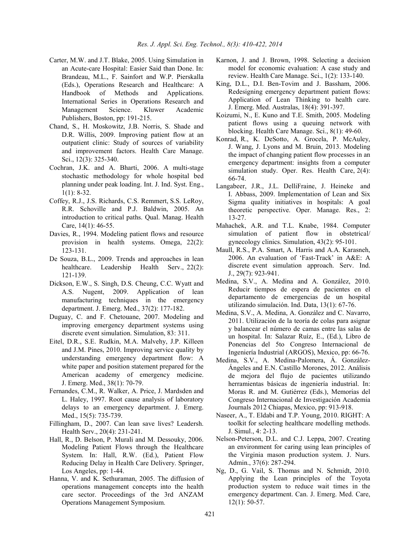- Carter, M.W. and J.T. Blake, 2005. Using Simulation in an Acute-care Hospital: Easier Said than Done. In: Brandeau, M.L., F. Sainfort and W.P. Pierskalla (Eds.), Operations Research and Healthcare: A Handbook of Methods and Applications. International Series in Operations Research and Management Science. Kluwer Academic Publishers, Boston, pp: 191-215.
- Chand, S., H. Moskowitz, J.B. Norris, S. Shade and D.R. Willis, 2009. Improving patient flow at an outpatient clinic: Study of sources of variability and improvement factors. Health Care Manage. Sci., 12(3): 325-340.
- Cochran, J.K. and A. Bharti, 2006. A multi-stage stochastic methodology for whole hospital bed planning under peak loading. Int. J. Ind. Syst. Eng.,  $1(1): 8-32.$
- Coffey, R.J., J.S. Richards, C.S. Remmert, S.S. LeRoy, R.R. Schoville and P.J. Baldwin, 2005. An introduction to critical paths. Qual. Manag. Health Care, 14(1): 46-55.
- Davies, R., 1994. Modeling patient flows and resource provision in health systems. Omega, 22(2): 123-131.
- De Souza, B.L., 2009. Trends and approaches in lean healthcare. Leadership Health Serv., 22(2): 121-139.
- Dickson, E.W., S. Singh, D.S. Cheung, C.C. Wyatt and A.S. Nugent, 2009. Application of lean manufacturing techniques in the emergency department. J. Emerg. Med., 37(2): 177-182.
- Duguay, C. and F. Chetouane, 2007. Modeling and improving emergency department systems using discrete event simulation. Simulation, 83: 311.
- Eitel, D.R., S.E. Rudkin, M.A. Malvehy, J.P. Killeen and J.M. Pines, 2010. Improving service quality by understanding emergency department flow: A white paper and position statement prepared for the American academy of emergency medicine. J. Emerg. Med., 38(1): 70-79.
- Fernandes, C.M., R. Walker, A. Price, J. Mardsden and L. Haley, 1997. Root cause analysis of laboratory delays to an emergency department. J. Emerg. Med., 15(5): 735-739.
- Fillingham, D., 2007. Can lean save lives? Leadersh. Health Serv., 20(4): 231-241.
- Hall, R., D. Belson, P. Murali and M. Dessouky, 2006. Modeling Patient Flows through the Healthcare System. In: Hall, R.W. (Ed.), Patient Flow Reducing Delay in Health Care Delivery. Springer, Los Angeles, pp: 1-44.
- Hanna, V. and K. Sethuraman, 2005. The diffusion of operations management concepts into the health care sector. Proceedings of the 3rd ANZAM Operations Management Symposium.
- Karnon, J. and J. Brown, 1998. Selecting a decision model for economic evaluation: A case study and review. Health Care Manage. Sci., 1(2): 133-140.
- King, D.L., D.I. Ben-Tovim and J. Bassham, 2006. Redesigning emergency department patient flows: Application of Lean Thinking to health care. J. Emerg. Med. Australas, 18(4): 391-397.
- Koizumi, N., E. Kuno and T.E. Smith, 2005. Modeling patient flows using a queuing network with blocking. Health Care Manage. Sci., 8(1): 49-60.
- Konrad, R., K. DeSotto, A. Grocela, P. McAuley, J. Wang, J. Lyons and M. Bruin, 2013. Modeling the impact of changing patient flow processes in an emergency department: insights from a computer simulation study. Oper. Res. Health Care, 2(4): 66-74.
- Langabeer, J.R., J.L. DelliFraine, J. Heineke and I. Abbass, 2009. Implementation of Lean and Six Sigma quality initiatives in hospitals: A goal theoretic perspective. Oper. Manage. Res., 2: 13-27.
- Mahachek, A.R. and T.L. Knabe, 1984. Computer simulation of patient flow in obstetrical/ gynecology clinics. Simulation, 43(2): 95-101.
- Maull, R.S., P.A. Smart, A. Harris and A.A. Karasneh, 2006. An evaluation of 'Fast-Track' in A&E: A discrete event simulation approach. Serv. Ind. J., 29(7): 923-941.
- Medina, S.V., A. Medina and A. González, 2010. Reducir tiempos de espera de pacientes en el departamento de emergencias de un hospital utilizando simulación. Ind. Data, 13(1): 67-76.
- Medina, S.V., A. Medina, A. González and C. Navarro, 2011. Utilización de la teoría de colas para asignar y balancear el número de camas entre las salas de un hospital. In: Salazar Ruíz, E., (Ed.), Libro de Ponencias del 5to Congreso Internacional de Ingeniería Industrial (ARGOS), Mexico, pp: 66-76.
- Medina, S.V., A. Medina-Palomera, Á. González-Ángeles and E.N. Castillo Morones, 2012. Análisis de mejora del flujo de pacientes utilizando herramientas básicas de ingeniería industrial. In: Moras R. and M. Gutiérrez (Eds.), Memorias del Congreso Internacional de Investigación Academia Journals 2012 Chiapas, Mexico, pp: 913-918.
- Naseer, A., T. Eldabi and T.P. Young, 2010. RIGHT: A toolkit for selecting healthcare modelling methods. J. Simul., 4: 2-13.
- Nelson-Peterson, D.L. and C.J. Leppa, 2007. Creating an environment for caring using lean principles of the Virginia mason production system. J. Nurs. Admin., 37(6): 287-294.
- Ng, D., G. Vail, S. Thomas and N. Schmidt, 2010. Applying the Lean principles of the Toyota production system to reduce wait times in the emergency department. Can. J. Emerg. Med. Care, 12(1): 50-57.